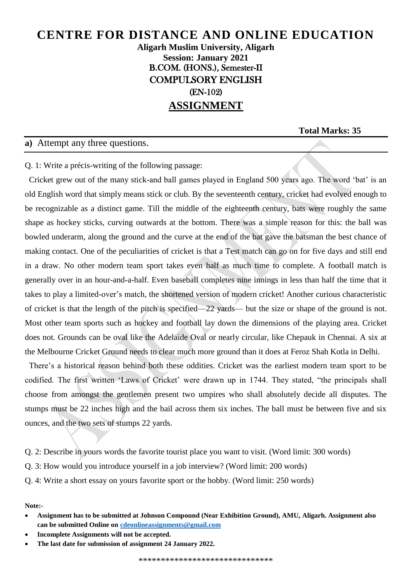**Aligarh Muslim University, Aligarh Session: January 2021** B.COM. (HONS.), Semester-II COMPULSORY ENGLISH (EN-102) **ASSIGNMENT**

**Total Marks: 35**

#### **a)** Attempt any three questions.

Q. 1: Write a précis-writing of the following passage:

 Cricket grew out of the many stick-and ball games played in England 500 years ago. The word 'bat' is an old English word that simply means stick or club. By the seventeenth century, cricket had evolved enough to be recognizable as a distinct game. Till the middle of the eighteenth century, bats were roughly the same shape as hockey sticks, curving outwards at the bottom. There was a simple reason for this: the ball was bowled underarm, along the ground and the curve at the end of the bat gave the batsman the best chance of making contact. One of the peculiarities of cricket is that a Test match can go on for five days and still end in a draw. No other modern team sport takes even half as much time to complete. A football match is generally over in an hour-and-a-half. Even baseball completes nine innings in less than half the time that it takes to play a limited-over's match, the shortened version of modern cricket! Another curious characteristic of cricket is that the length of the pitch is specified—22 yards— but the size or shape of the ground is not. Most other team sports such as hockey and football lay down the dimensions of the playing area. Cricket does not. Grounds can be oval like the Adelaide Oval or nearly circular, like Chepauk in Chennai. A six at the Melbourne Cricket Ground needs to clear much more ground than it does at Feroz Shah Kotla in Delhi.

 There's a historical reason behind both these oddities. Cricket was the earliest modern team sport to be codified. The first written 'Laws of Cricket' were drawn up in 1744. They stated, "the principals shall choose from amongst the gentlemen present two umpires who shall absolutely decide all disputes. The stumps must be 22 inches high and the bail across them six inches. The ball must be between five and six ounces, and the two sets of stumps 22 yards.

Q. 2: Describe in yours words the favorite tourist place you want to visit. (Word limit: 300 words)

Q. 3: How would you introduce yourself in a job interview? (Word limit: 200 words)

Q. 4: Write a short essay on yours favorite sport or the hobby. (Word limit: 250 words)

**Note:-**

- **Assignment has to be submitted at Johnson Compound (Near Exhibition Ground), AMU, Aligarh. Assignment also can be submitted Online o[n cdeonlineassignments@gmail.com](mailto:cdeonlineassignments@gmail.com)**
- **Incomplete Assignments will not be accepted.**
- **The last date for submission of assignment 24 January 2022.**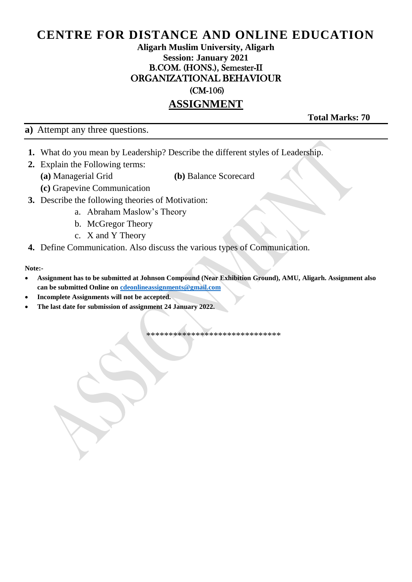### **Aligarh Muslim University, Aligarh Session: January 2021** B.COM. (HONS.), Semester-II ORGANIZATIONAL BEHAVIOUR

(CM-106)

### **ASSIGNMENT**

**a)** Attempt any three questions.

**Total Marks: 70**

- **1.** What do you mean by Leadership? Describe the different styles of Leadership.
- **2.** Explain the Following terms:
	- **(a)** Managerial Grid **(b)** Balance Scorecard
	- **(c)** Grapevine Communication
- **3.** Describe the following theories of Motivation:
	- a. Abraham Maslow's Theory
	- b. McGregor Theory
	- c. X and Y Theory
- **4.** Define Communication. Also discuss the various types of Communication.

**Note:-**

- **Assignment has to be submitted at Johnson Compound (Near Exhibition Ground), AMU, Aligarh. Assignment also can be submitted Online o[n cdeonlineassignments@gmail.com](mailto:cdeonlineassignments@gmail.com)**
- **Incomplete Assignments will not be accepted.**
- **The last date for submission of assignment 24 January 2022.**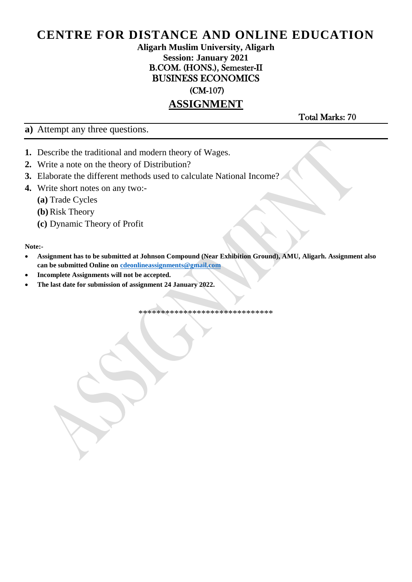#### **Aligarh Muslim University, Aligarh Session: January 2021** B.COM. (HONS.), Semester-II BUSINESS ECONOMICS

(CM-107)

## **ASSIGNMENT**

**a)** Attempt any three questions.

Total Marks: 70

- **1.** Describe the traditional and modern theory of Wages.
- **2.** Write a note on the theory of Distribution?
- **3.** Elaborate the different methods used to calculate National Income?
- **4.** Write short notes on any two:-
	- **(a)** Trade Cycles
	- **(b)** Risk Theory
	- **(c)** Dynamic Theory of Profit

**Note:-**

- **Assignment has to be submitted at Johnson Compound (Near Exhibition Ground), AMU, Aligarh. Assignment also can be submitted Online o[n cdeonlineassignments@gmail.com](mailto:cdeonlineassignments@gmail.com)**
- **Incomplete Assignments will not be accepted.**
- **The last date for submission of assignment 24 January 2022.**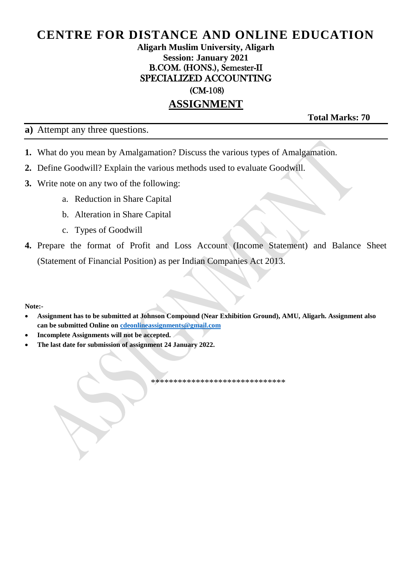#### **Aligarh Muslim University, Aligarh Session: January 2021** B.COM. (HONS.), Semester-II SPECIALIZED ACCOUNTING (CM-108)

### **ASSIGNMENT**

**Total Marks: 70**

**a)** Attempt any three questions.

- **1.** What do you mean by Amalgamation? Discuss the various types of Amalgamation.
- **2.** Define Goodwill? Explain the various methods used to evaluate Goodwill.
- **3.** Write note on any two of the following:
	- a. Reduction in Share Capital
	- b. Alteration in Share Capital
	- c. Types of Goodwill
- **4.** Prepare the format of Profit and Loss Account (Income Statement) and Balance Sheet (Statement of Financial Position) as per Indian Companies Act 2013.

**Note:-**

- **Assignment has to be submitted at Johnson Compound (Near Exhibition Ground), AMU, Aligarh. Assignment also can be submitted Online o[n cdeonlineassignments@gmail.com](mailto:cdeonlineassignments@gmail.com)**
- **Incomplete Assignments will not be accepted.**
- **The last date for submission of assignment 24 January 2022.**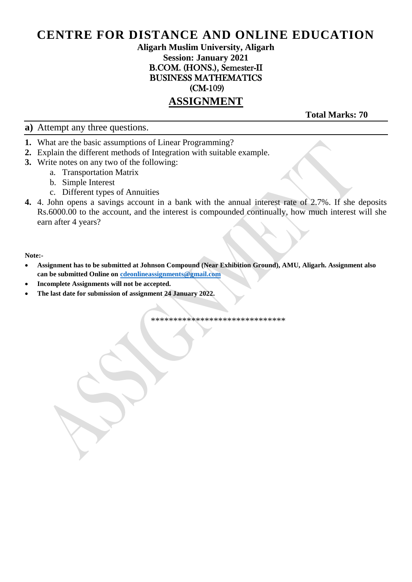#### **Aligarh Muslim University, Aligarh Session: January 2021** B.COM. (HONS.), Semester-II BUSINESS MATHEMATICS (CM-109)

### **ASSIGNMENT**

**Total Marks: 70** 

**a)** Attempt any three questions.

- **1.** What are the basic assumptions of Linear Programming?
- **2.** Explain the different methods of Integration with suitable example.
- **3.** Write notes on any two of the following:
	- a. Transportation Matrix
	- b. Simple Interest
	- c. Different types of Annuities
- **4.** 4. John opens a savings account in a bank with the annual interest rate of 2.7%. If she deposits Rs.6000.00 to the account, and the interest is compounded continually, how much interest will she earn after 4 years?

#### **Note:-**

- **Assignment has to be submitted at Johnson Compound (Near Exhibition Ground), AMU, Aligarh. Assignment also can be submitted Online o[n cdeonlineassignments@gmail.com](mailto:cdeonlineassignments@gmail.com)**
- **Incomplete Assignments will not be accepted.**
- **The last date for submission of assignment 24 January 2022.**